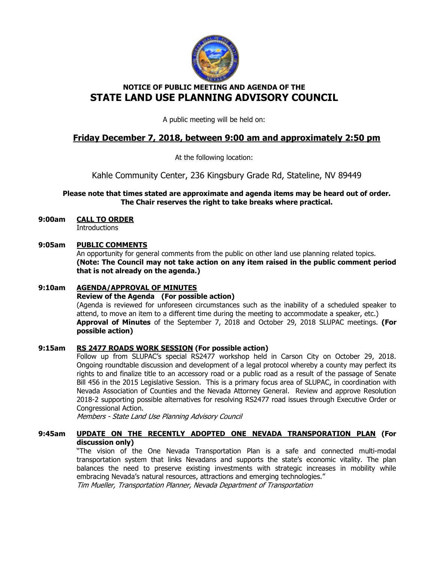

# NOTICE OF PUBLIC MEETING AND AGENDA OF THE STATE LAND USE PLANNING ADVISORY COUNCIL

A public meeting will be held on:

# Friday December 7, 2018, between 9:00 am and approximately 2:50 pm

At the following location:

Kahle Community Center, 236 Kingsbury Grade Rd, Stateline, NV 89449

# Please note that times stated are approximate and agenda items may be heard out of order. The Chair reserves the right to take breaks where practical.

# 9:00am CALL TO ORDER

**Introductions** 

## 9:05am PUBLIC COMMENTS

An opportunity for general comments from the public on other land use planning related topics. (Note: The Council may not take action on any item raised in the public comment period that is not already on the agenda.)

# 9:10am AGENDA/APPROVAL OF MINUTES

#### Review of the Agenda (For possible action)

(Agenda is reviewed for unforeseen circumstances such as the inability of a scheduled speaker to attend, to move an item to a different time during the meeting to accommodate a speaker, etc.) Approval of Minutes of the September 7, 2018 and October 29, 2018 SLUPAC meetings. (For possible action)

# 9:15am RS 2477 ROADS WORK SESSION (For possible action)

 Follow up from SLUPAC's special RS2477 workshop held in Carson City on October 29, 2018. Ongoing roundtable discussion and development of a legal protocol whereby a county may perfect its rights to and finalize title to an accessory road or a public road as a result of the passage of Senate Bill 456 in the 2015 Legislative Session. This is a primary focus area of SLUPAC, in coordination with Nevada Association of Counties and the Nevada Attorney General. Review and approve Resolution 2018-2 supporting possible alternatives for resolving RS2477 road issues through Executive Order or Congressional Action.

Members - State Land Use Planning Advisory Council

# 9:45am UPDATE ON THE RECENTLY ADOPTED ONE NEVADA TRANSPORATION PLAN (For discussion only)

 "The vision of the One Nevada Transportation Plan is a safe and connected multi-modal transportation system that links Nevadans and supports the state's economic vitality. The plan balances the need to preserve existing investments with strategic increases in mobility while embracing Nevada's natural resources, attractions and emerging technologies."

Tim Mueller, Transportation Planner, Nevada Department of Transportation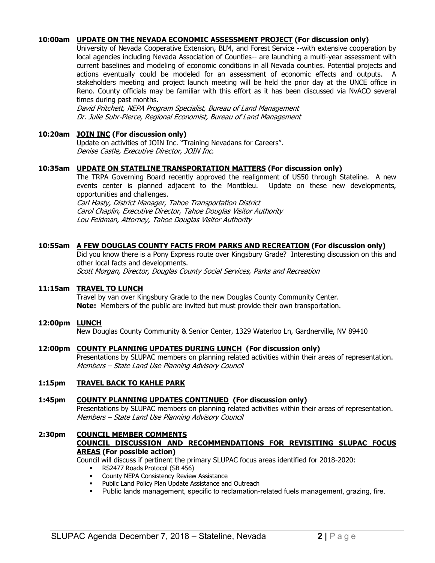# 10:00am UPDATE ON THE NEVADA ECONOMIC ASSESSMENT PROJECT (For discussion only)

 University of Nevada Cooperative Extension, BLM, and Forest Service --with extensive cooperation by local agencies including Nevada Association of Counties-- are launching a multi-year assessment with current baselines and modeling of economic conditions in all Nevada counties. Potential projects and actions eventually could be modeled for an assessment of economic effects and outputs. A stakeholders meeting and project launch meeting will be held the prior day at the UNCE office in Reno. County officials may be familiar with this effort as it has been discussed via NvACO several times during past months.

 David Pritchett, NEPA Program Specialist, Bureau of Land Management Dr. Julie Suhr-Pierce, Regional Economist, Bureau of Land Management

## 10:20am JOIN INC (For discussion only)

 Update on activities of JOIN Inc. "Training Nevadans for Careers". Denise Castle, Executive Director, JOIN Inc.

## 10:35am UPDATE ON STATELINE TRANSPORTATION MATTERS (For discussion only)

 The TRPA Governing Board recently approved the realignment of US50 through Stateline. A new events center is planned adjacent to the Montbleu. Update on these new developments, opportunities and challenges.

 Carl Hasty, District Manager, Tahoe Transportation District Carol Chaplin, Executive Director, Tahoe Douglas Visitor Authority Lou Feldman, Attorney, Tahoe Douglas Visitor Authority

## 10:55am A FEW DOUGLAS COUNTY FACTS FROM PARKS AND RECREATION (For discussion only)

 Did you know there is a Pony Express route over Kingsbury Grade? Interesting discussion on this and other local facts and developments. Scott Morgan, Director, Douglas County Social Services, Parks and Recreation

## 11:15am TRAVEL TO LUNCH

Travel by van over Kingsbury Grade to the new Douglas County Community Center. Note: Members of the public are invited but must provide their own transportation.

#### 12:00pm LUNCH

New Douglas County Community & Senior Center, 1329 Waterloo Ln, Gardnerville, NV 89410

#### 12:00pm COUNTY PLANNING UPDATES DURING LUNCH (For discussion only)

Presentations by SLUPAC members on planning related activities within their areas of representation. Members – State Land Use Planning Advisory Council

#### 1:15pm TRAVEL BACK TO KAHLE PARK

#### 1:45pm COUNTY PLANNING UPDATES CONTINUED (For discussion only)

Presentations by SLUPAC members on planning related activities within their areas of representation. Members – State Land Use Planning Advisory Council

### 2:30pm COUNCIL MEMBER COMMENTS COUNCIL DISCUSSION AND RECOMMENDATIONS FOR REVISITING SLUPAC FOCUS AREAS (For possible action)

Council will discuss if pertinent the primary SLUPAC focus areas identified for 2018-2020:

- RS2477 Roads Protocol (SB 456)
- County NEPA Consistency Review Assistance
- Public Land Policy Plan Update Assistance and Outreach
- Public lands management, specific to reclamation-related fuels management, grazing, fire.